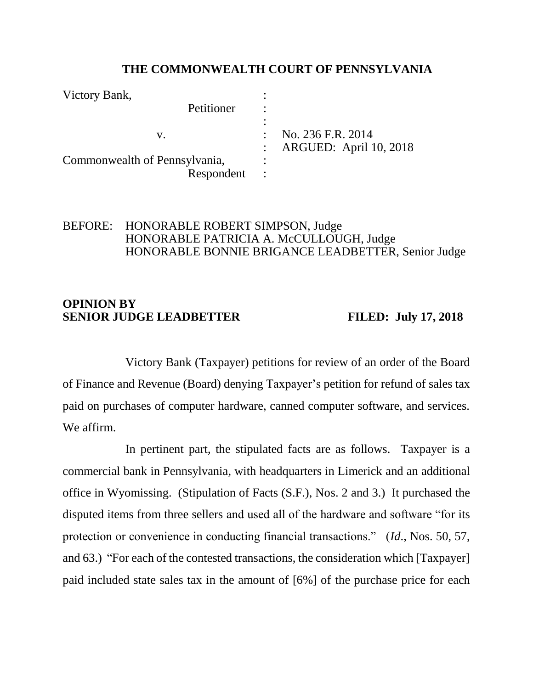### **THE COMMONWEALTH COURT OF PENNSYLVANIA**

| Victory Bank,                 |                          |
|-------------------------------|--------------------------|
| Petitioner                    |                          |
|                               |                          |
| V.                            | No. 236 F.R. 2014        |
|                               | : ARGUED: April 10, 2018 |
| Commonwealth of Pennsylvania, |                          |
| Respondent                    |                          |

## BEFORE: HONORABLE ROBERT SIMPSON, Judge HONORABLE PATRICIA A. McCULLOUGH, Judge HONORABLE BONNIE BRIGANCE LEADBETTER, Senior Judge

## **OPINION BY SENIOR JUDGE LEADBETTER FILED: July 17, 2018**

Victory Bank (Taxpayer) petitions for review of an order of the Board of Finance and Revenue (Board) denying Taxpayer's petition for refund of sales tax paid on purchases of computer hardware, canned computer software, and services. We affirm.

In pertinent part, the stipulated facts are as follows. Taxpayer is a commercial bank in Pennsylvania, with headquarters in Limerick and an additional office in Wyomissing. (Stipulation of Facts (S.F.), Nos. 2 and 3.) It purchased the disputed items from three sellers and used all of the hardware and software "for its protection or convenience in conducting financial transactions." (*Id*., Nos. 50, 57, and 63.) "For each of the contested transactions, the consideration which [Taxpayer] paid included state sales tax in the amount of [6%] of the purchase price for each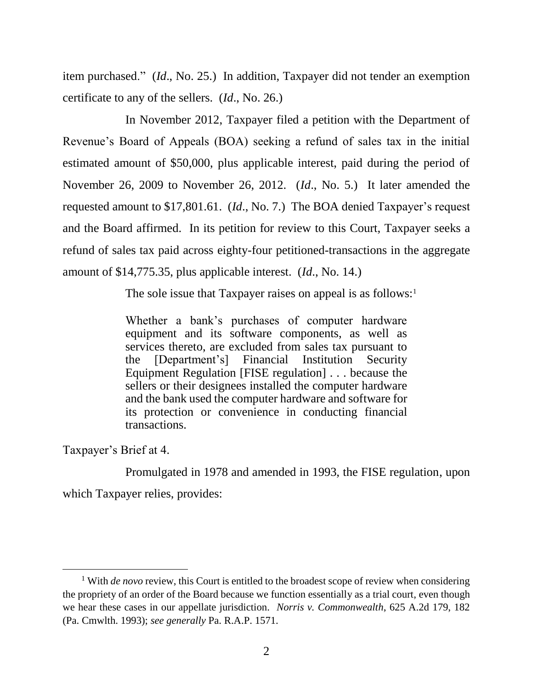item purchased." (*Id*., No. 25.) In addition, Taxpayer did not tender an exemption certificate to any of the sellers. (*Id*., No. 26.)

In November 2012, Taxpayer filed a petition with the Department of Revenue's Board of Appeals (BOA) seeking a refund of sales tax in the initial estimated amount of \$50,000, plus applicable interest, paid during the period of November 26, 2009 to November 26, 2012. (*Id*., No. 5.) It later amended the requested amount to \$17,801.61. (*Id*., No. 7.) The BOA denied Taxpayer's request and the Board affirmed. In its petition for review to this Court, Taxpayer seeks a refund of sales tax paid across eighty-four petitioned-transactions in the aggregate amount of \$14,775.35, plus applicable interest. (*Id*., No. 14.)

The sole issue that Taxpayer raises on appeal is as follows:<sup>1</sup>

Whether a bank's purchases of computer hardware equipment and its software components, as well as services thereto, are excluded from sales tax pursuant to the [Department's] Financial Institution Security Equipment Regulation [FISE regulation] . . . because the sellers or their designees installed the computer hardware and the bank used the computer hardware and software for its protection or convenience in conducting financial transactions.

Taxpayer's Brief at 4.

 $\overline{a}$ 

Promulgated in 1978 and amended in 1993, the FISE regulation, upon which Taxpayer relies, provides:

<sup>&</sup>lt;sup>1</sup> With *de novo* review, this Court is entitled to the broadest scope of review when considering the propriety of an order of the Board because we function essentially as a trial court, even though we hear these cases in our appellate jurisdiction. *Norris v. Commonwealth*, 625 A.2d 179, 182 (Pa. Cmwlth. 1993); *see generally* Pa. R.A.P. 1571.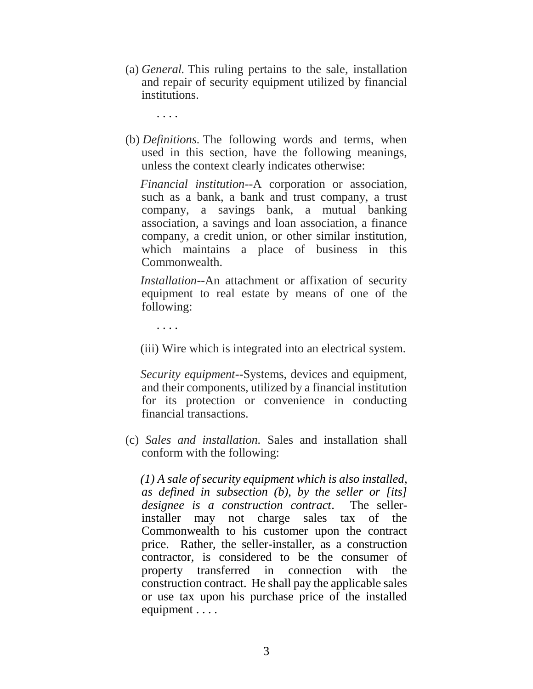(a) *General.* This ruling pertains to the sale, installation and repair of security equipment utilized by financial institutions.

. . . .

(b) *Definitions.* The following words and terms, when used in this section, have the following meanings, unless the context clearly indicates otherwise:

 *Financial institution*--A corporation or association, such as a bank, a bank and trust company, a trust company, a savings bank, a mutual banking association, a savings and loan association, a finance company, a credit union, or other similar institution, which maintains a place of business in this Commonwealth.

 *Installation*--An attachment or affixation of security equipment to real estate by means of one of the following:

. . . .

(iii) Wire which is integrated into an electrical system.

 *Security equipment*--Systems, devices and equipment, and their components, utilized by a financial institution for its protection or convenience in conducting financial transactions.

(c) *Sales and installation.* Sales and installation shall conform with the following:

 *(1) A sale of security equipment which is also installed, as defined in subsection (b), by the seller or [its] designee is a construction contract*. The sellerinstaller may not charge sales tax of the Commonwealth to his customer upon the contract price. Rather, the seller-installer, as a construction contractor, is considered to be the consumer of property transferred in connection with the construction contract. He shall pay the applicable sales or use tax upon his purchase price of the installed equipment . . . .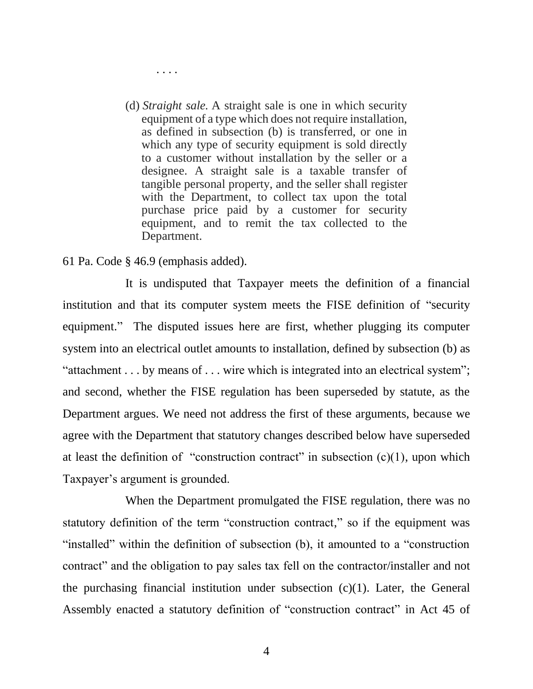(d) *Straight sale.* A straight sale is one in which security equipment of a type which does not require installation, as defined in subsection (b) is transferred, or one in which any type of security equipment is sold directly to a customer without installation by the seller or a designee. A straight sale is a taxable transfer of tangible personal property, and the seller shall register with the Department, to collect tax upon the total purchase price paid by a customer for security equipment, and to remit the tax collected to the Department.

### 61 Pa. Code § 46.9 (emphasis added).

*. . . .*

It is undisputed that Taxpayer meets the definition of a financial institution and that its computer system meets the FISE definition of "security equipment." The disputed issues here are first, whether plugging its computer system into an electrical outlet amounts to installation, defined by subsection (b) as "attachment . . . by means of . . . wire which is integrated into an electrical system"; and second, whether the FISE regulation has been superseded by statute, as the Department argues. We need not address the first of these arguments, because we agree with the Department that statutory changes described below have superseded at least the definition of "construction contract" in subsection  $(c)(1)$ , upon which Taxpayer's argument is grounded.

When the Department promulgated the FISE regulation, there was no statutory definition of the term "construction contract," so if the equipment was "installed" within the definition of subsection (b), it amounted to a "construction contract" and the obligation to pay sales tax fell on the contractor/installer and not the purchasing financial institution under subsection  $(c)(1)$ . Later, the General Assembly enacted a statutory definition of "construction contract" in Act 45 of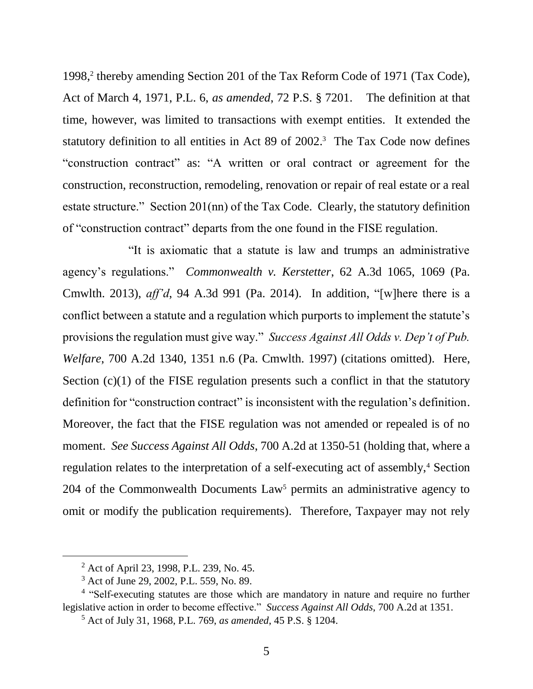1998, 2 thereby amending Section 201 of the Tax Reform Code of 1971 (Tax Code), Act of March 4, 1971, P.L. 6, *as amended*, 72 P.S. § 7201. The definition at that time, however, was limited to transactions with exempt entities. It extended the statutory definition to all entities in Act 89 of 2002. 3 The Tax Code now defines "construction contract" as: "A written or oral contract or agreement for the construction, reconstruction, remodeling, renovation or repair of real estate or a real estate structure." Section 201(nn) of the Tax Code. Clearly, the statutory definition of "construction contract" departs from the one found in the FISE regulation.

"It is axiomatic that a statute is law and trumps an administrative agency's regulations." *Commonwealth v. Kerstetter*, 62 A.3d 1065, 1069 (Pa. Cmwlth. 2013), *aff'd*, 94 A.3d 991 (Pa. 2014). In addition, "[w]here there is a conflict between a statute and a regulation which purports to implement the statute's provisions the regulation must give way." *Success Against All Odds v. Dep't of Pub. Welfare*, 700 A.2d 1340, 1351 n.6 (Pa. Cmwlth. 1997) (citations omitted). Here, Section (c)(1) of the FISE regulation presents such a conflict in that the statutory definition for "construction contract" is inconsistent with the regulation's definition. Moreover, the fact that the FISE regulation was not amended or repealed is of no moment. *See Success Against All Odds*, 700 A.2d at 1350-51 (holding that, where a regulation relates to the interpretation of a self-executing act of assembly,<sup>4</sup> Section 204 of the Commonwealth Documents  $Law<sup>5</sup>$  permits an administrative agency to omit or modify the publication requirements). Therefore, Taxpayer may not rely

 $\overline{a}$ 

<sup>2</sup> Act of April 23, 1998, P.L. 239, No. 45.

<sup>3</sup> Act of June 29, 2002, P.L. 559, No. 89.

<sup>&</sup>lt;sup>4</sup> "Self-executing statutes are those which are mandatory in nature and require no further legislative action in order to become effective." *Success Against All Odds*, 700 A.2d at 1351.

<sup>5</sup> Act of July 31, 1968, P.L. 769, *as amended*, 45 P.S. § 1204.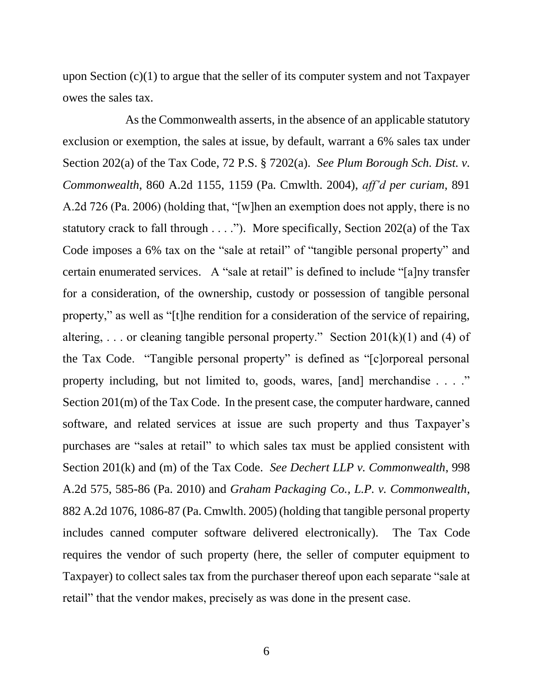upon Section (c)(1) to argue that the seller of its computer system and not Taxpayer owes the sales tax.

As the Commonwealth asserts, in the absence of an applicable statutory exclusion or exemption, the sales at issue, by default, warrant a 6% sales tax under Section 202(a) of the Tax Code, 72 P.S. § 7202(a). *See Plum Borough Sch. Dist. v. Commonwealth*, 860 A.2d 1155, 1159 (Pa. Cmwlth. 2004), *aff'd per curiam*, 891 A.2d 726 (Pa. 2006) (holding that, "[w]hen an exemption does not apply, there is no statutory crack to fall through  $\dots$ ."). More specifically, Section 202(a) of the Tax Code imposes a 6% tax on the "sale at retail" of "tangible personal property" and certain enumerated services. A "sale at retail" is defined to include "[a]ny transfer for a consideration, of the ownership, custody or possession of tangible personal property," as well as "[t]he rendition for a consideration of the service of repairing, altering, ... or cleaning tangible personal property." Section  $201(k)(1)$  and (4) of the Tax Code. "Tangible personal property" is defined as "[c]orporeal personal property including, but not limited to, goods, wares, [and] merchandise . . . ." Section 201(m) of the Tax Code. In the present case, the computer hardware, canned software, and related services at issue are such property and thus Taxpayer's purchases are "sales at retail" to which sales tax must be applied consistent with Section 201(k) and (m) of the Tax Code. *See Dechert LLP v. Commonwealth*, 998 A.2d 575, 585-86 (Pa. 2010) and *Graham Packaging Co., L.P. v. Commonwealth*, 882 A.2d 1076, 1086-87 (Pa. Cmwlth. 2005) (holding that tangible personal property includes canned computer software delivered electronically). The Tax Code requires the vendor of such property (here, the seller of computer equipment to Taxpayer) to collect sales tax from the purchaser thereof upon each separate "sale at retail" that the vendor makes, precisely as was done in the present case.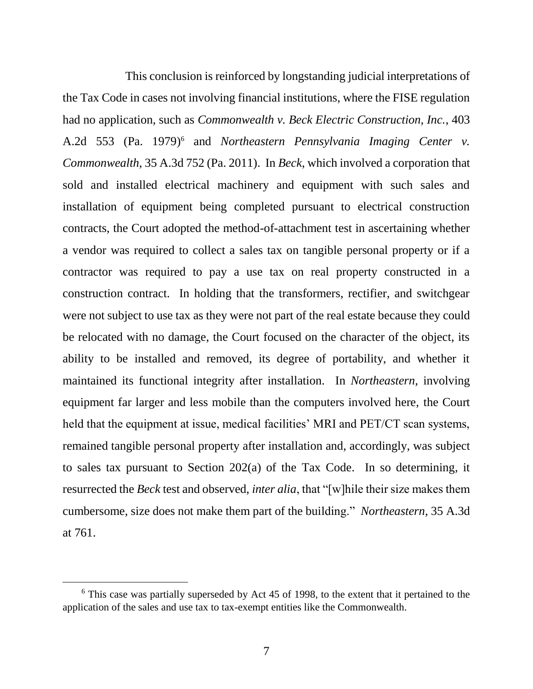This conclusion is reinforced by longstanding judicial interpretations of the Tax Code in cases not involving financial institutions, where the FISE regulation had no application, such as *Commonwealth v. Beck Electric Construction, Inc.*, 403 A.2d 553 (Pa. 1979)<sup>6</sup> and *Northeastern Pennsylvania Imaging Center v. Commonwealth*, 35 A.3d 752 (Pa. 2011). In *Beck*, which involved a corporation that sold and installed electrical machinery and equipment with such sales and installation of equipment being completed pursuant to electrical construction contracts, the Court adopted the method-of-attachment test in ascertaining whether a vendor was required to collect a sales tax on tangible personal property or if a contractor was required to pay a use tax on real property constructed in a construction contract. In holding that the transformers, rectifier, and switchgear were not subject to use tax as they were not part of the real estate because they could be relocated with no damage, the Court focused on the character of the object, its ability to be installed and removed, its degree of portability, and whether it maintained its functional integrity after installation. In *Northeastern*, involving equipment far larger and less mobile than the computers involved here, the Court held that the equipment at issue, medical facilities' MRI and PET/CT scan systems, remained tangible personal property after installation and, accordingly, was subject to sales tax pursuant to Section 202(a) of the Tax Code. In so determining, it resurrected the *Beck* test and observed, *inter alia*, that "[w]hile their size makes them cumbersome, size does not make them part of the building." *Northeastern*, 35 A.3d at 761.

 $\overline{a}$ 

 $6$  This case was partially superseded by Act 45 of 1998, to the extent that it pertained to the application of the sales and use tax to tax-exempt entities like the Commonwealth.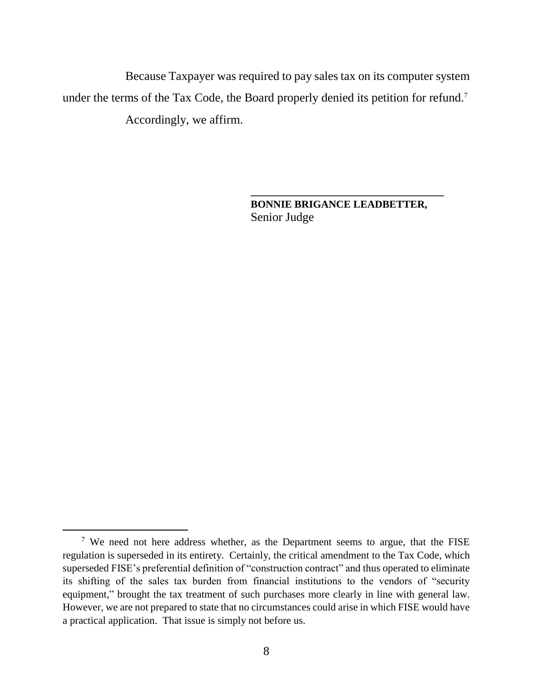Because Taxpayer was required to pay sales tax on its computer system under the terms of the Tax Code, the Board properly denied its petition for refund.<sup>7</sup> Accordingly, we affirm.

> **BONNIE BRIGANCE LEADBETTER,** Senior Judge

**\_\_\_\_\_\_\_\_\_\_\_\_\_\_\_\_\_\_\_\_\_\_\_\_\_\_\_\_\_\_\_\_\_\_\_\_\_**

 $\overline{a}$ 

<sup>&</sup>lt;sup>7</sup> We need not here address whether, as the Department seems to argue, that the FISE regulation is superseded in its entirety. Certainly, the critical amendment to the Tax Code, which superseded FISE's preferential definition of "construction contract" and thus operated to eliminate its shifting of the sales tax burden from financial institutions to the vendors of "security equipment," brought the tax treatment of such purchases more clearly in line with general law. However, we are not prepared to state that no circumstances could arise in which FISE would have a practical application. That issue is simply not before us.